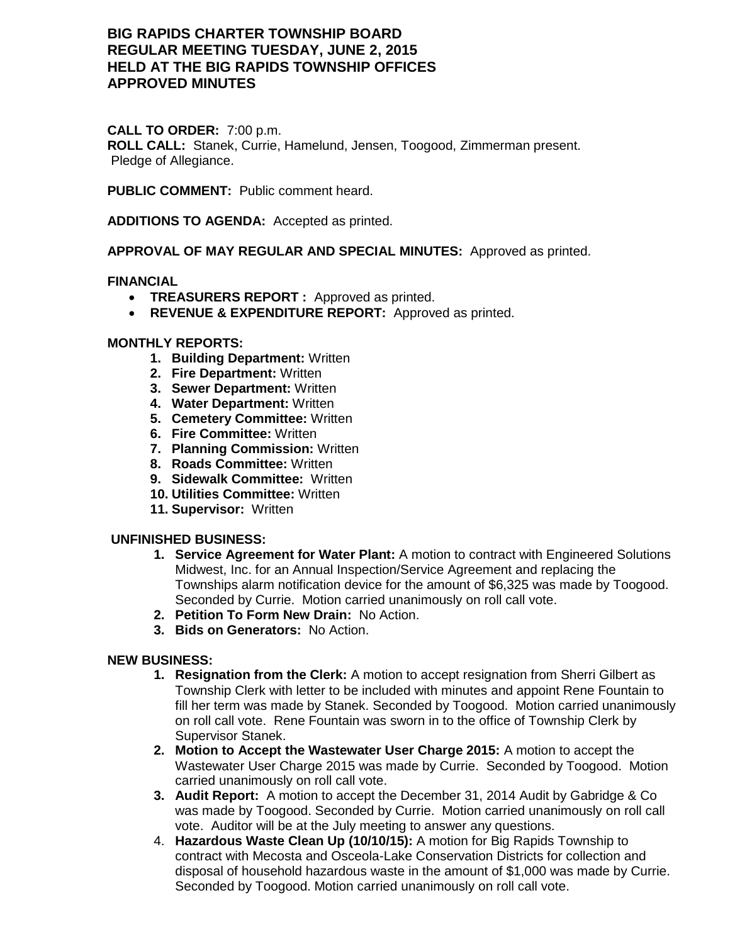# **BIG RAPIDS CHARTER TOWNSHIP BOARD REGULAR MEETING TUESDAY, JUNE 2, 2015 HELD AT THE BIG RAPIDS TOWNSHIP OFFICES APPROVED MINUTES**

### **CALL TO ORDER:** 7:00 p.m.

**ROLL CALL:** Stanek, Currie, Hamelund, Jensen, Toogood, Zimmerman present. Pledge of Allegiance.

**PUBLIC COMMENT:** Public comment heard.

**ADDITIONS TO AGENDA:** Accepted as printed.

**APPROVAL OF MAY REGULAR AND SPECIAL MINUTES:** Approved as printed.

### **FINANCIAL**

- **TREASURERS REPORT :** Approved as printed.
- **REVENUE & EXPENDITURE REPORT:** Approved as printed.

### **MONTHLY REPORTS:**

- **1. Building Department:** Written
- **2. Fire Department:** Written
- **3. Sewer Department:** Written
- **4. Water Department:** Written
- **5. Cemetery Committee:** Written
- **6. Fire Committee:** Written
- **7. Planning Commission:** Written
- **8. Roads Committee:** Written
- **9. Sidewalk Committee:** Written
- **10. Utilities Committee:** Written
- **11. Supervisor:** Written

#### **UNFINISHED BUSINESS:**

- **1. Service Agreement for Water Plant:** A motion to contract with Engineered Solutions Midwest, Inc. for an Annual Inspection/Service Agreement and replacing the Townships alarm notification device for the amount of \$6,325 was made by Toogood. Seconded by Currie. Motion carried unanimously on roll call vote.
- **2. Petition To Form New Drain:** No Action.
- **3. Bids on Generators:** No Action.

#### **NEW BUSINESS:**

- **1. Resignation from the Clerk:** A motion to accept resignation from Sherri Gilbert as Township Clerk with letter to be included with minutes and appoint Rene Fountain to fill her term was made by Stanek. Seconded by Toogood. Motion carried unanimously on roll call vote. Rene Fountain was sworn in to the office of Township Clerk by Supervisor Stanek.
- **2. Motion to Accept the Wastewater User Charge 2015:** A motion to accept the Wastewater User Charge 2015 was made by Currie. Seconded by Toogood. Motion carried unanimously on roll call vote.
- **3. Audit Report:** A motion to accept the December 31, 2014 Audit by Gabridge & Co was made by Toogood. Seconded by Currie. Motion carried unanimously on roll call vote. Auditor will be at the July meeting to answer any questions.
- 4. **Hazardous Waste Clean Up (10/10/15):** A motion for Big Rapids Township to contract with Mecosta and Osceola-Lake Conservation Districts for collection and disposal of household hazardous waste in the amount of \$1,000 was made by Currie. Seconded by Toogood. Motion carried unanimously on roll call vote.